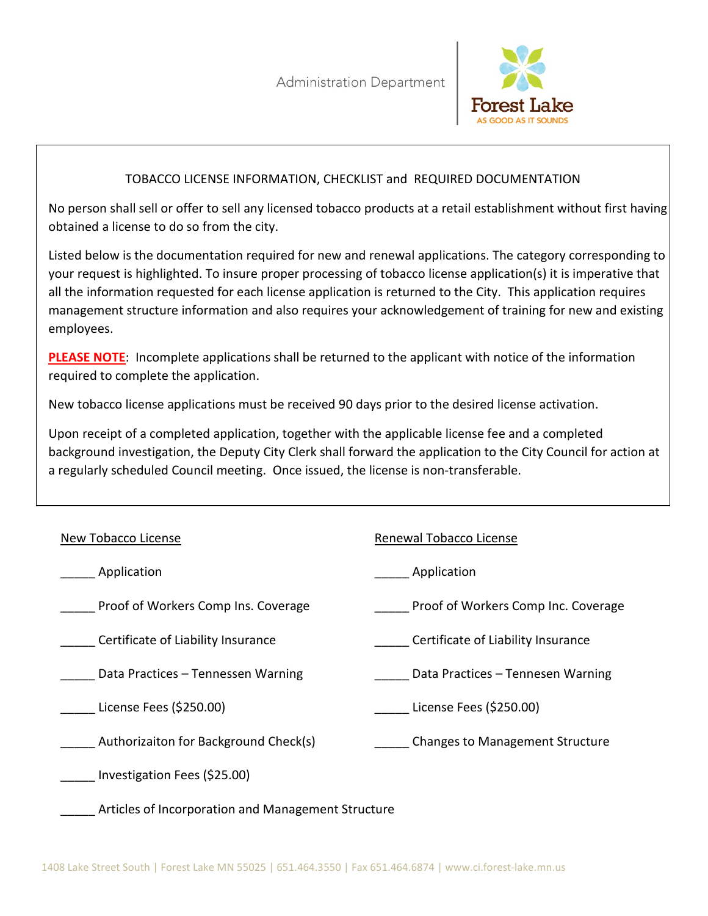

#### TOBACCO LICENSE INFORMATION, CHECKLIST and REQUIRED DOCUMENTATION

No person shall sell or offer to sell any licensed tobacco products at a retail establishment without first having obtained a license to do so from the city.

Listed below is the documentation required for new and renewal applications. The category corresponding to your request is highlighted. To insure proper processing of tobacco license application(s) it is imperative that all the information requested for each license application is returned to the City. This application requires management structure information and also requires your acknowledgement of training for new and existing employees.

**PLEASE NOTE**: Incomplete applications shall be returned to the applicant with notice of the information required to complete the application.

New tobacco license applications must be received 90 days prior to the desired license activation.

Upon receipt of a completed application, together with the applicable license fee and a completed background investigation, the Deputy City Clerk shall forward the application to the City Council for action at a regularly scheduled Council meeting. Once issued, the license is non-transferable.

| New Tobacco License                                | Renewal Tobacco License                |
|----------------------------------------------------|----------------------------------------|
| Application                                        | Application                            |
| Proof of Workers Comp Ins. Coverage                | Proof of Workers Comp Inc. Coverage    |
| Certificate of Liability Insurance                 | Certificate of Liability Insurance     |
| Data Practices - Tennessen Warning                 | Data Practices – Tennesen Warning      |
| License Fees (\$250.00)                            | License Fees (\$250.00)                |
| Authorizaiton for Background Check(s)              | <b>Changes to Management Structure</b> |
| Investigation Fees (\$25.00)                       |                                        |
| Articles of Incorporation and Management Structure |                                        |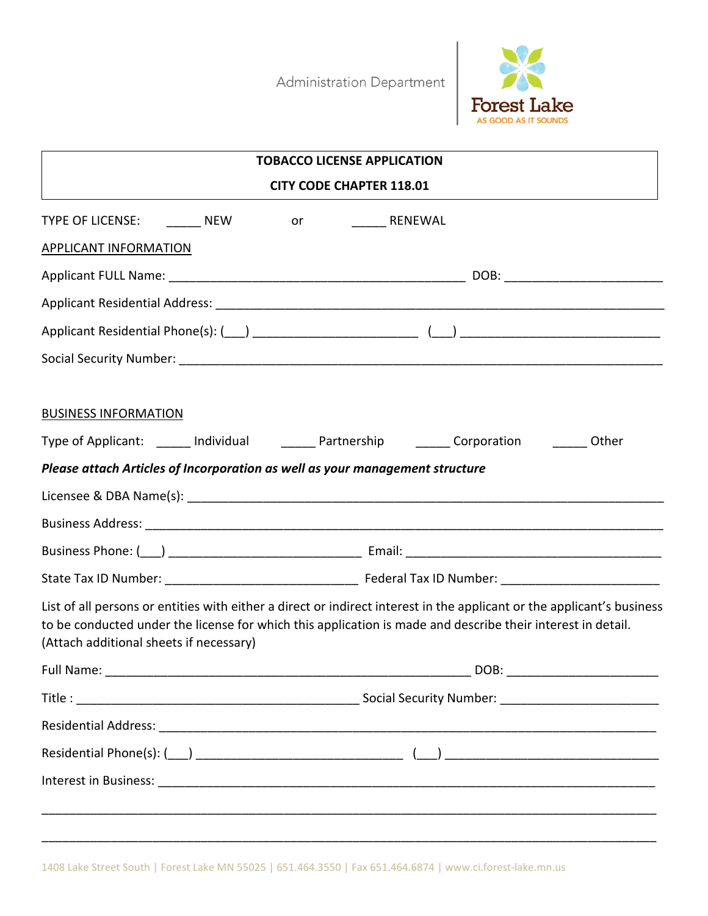Administration Department



| <b>TOBACCO LICENSE APPLICATION</b>                                                                                                                                                                                                                                               |                                 |  |  |
|----------------------------------------------------------------------------------------------------------------------------------------------------------------------------------------------------------------------------------------------------------------------------------|---------------------------------|--|--|
|                                                                                                                                                                                                                                                                                  | <b>CITY CODE CHAPTER 118.01</b> |  |  |
| TYPE OF LICENSE: ________ NEW _________ or _________ RENEWAL                                                                                                                                                                                                                     |                                 |  |  |
| <b>APPLICANT INFORMATION</b>                                                                                                                                                                                                                                                     |                                 |  |  |
|                                                                                                                                                                                                                                                                                  |                                 |  |  |
|                                                                                                                                                                                                                                                                                  |                                 |  |  |
| Applicant Residential Phone(s): (10) 2022 2022 2022 2022 2022 2023 2024 2022 2023 2024 2022 2023 2024 2022 20                                                                                                                                                                    |                                 |  |  |
|                                                                                                                                                                                                                                                                                  |                                 |  |  |
| <b>BUSINESS INFORMATION</b>                                                                                                                                                                                                                                                      |                                 |  |  |
| Type of Applicant: ______ Individual _______ Partnership _______ Corporation _______ Other                                                                                                                                                                                       |                                 |  |  |
| Please attach Articles of Incorporation as well as your management structure                                                                                                                                                                                                     |                                 |  |  |
|                                                                                                                                                                                                                                                                                  |                                 |  |  |
|                                                                                                                                                                                                                                                                                  |                                 |  |  |
|                                                                                                                                                                                                                                                                                  |                                 |  |  |
|                                                                                                                                                                                                                                                                                  |                                 |  |  |
| List of all persons or entities with either a direct or indirect interest in the applicant or the applicant's business<br>to be conducted under the license for which this application is made and describe their interest in detail.<br>(Attach additional sheets if necessary) |                                 |  |  |
|                                                                                                                                                                                                                                                                                  |                                 |  |  |
|                                                                                                                                                                                                                                                                                  |                                 |  |  |
|                                                                                                                                                                                                                                                                                  |                                 |  |  |
|                                                                                                                                                                                                                                                                                  |                                 |  |  |
|                                                                                                                                                                                                                                                                                  |                                 |  |  |
| <u> 1989 - Johann Barn, mars eta bat erroman erroman erroman erroman ezkin erroman ezkin ezkin ezkin ezkin ezki</u>                                                                                                                                                              |                                 |  |  |

\_\_\_\_\_\_\_\_\_\_\_\_\_\_\_\_\_\_\_\_\_\_\_\_\_\_\_\_\_\_\_\_\_\_\_\_\_\_\_\_\_\_\_\_\_\_\_\_\_\_\_\_\_\_\_\_\_\_\_\_\_\_\_\_\_\_\_\_\_\_\_\_\_\_\_\_\_\_\_\_\_\_\_\_\_\_\_\_\_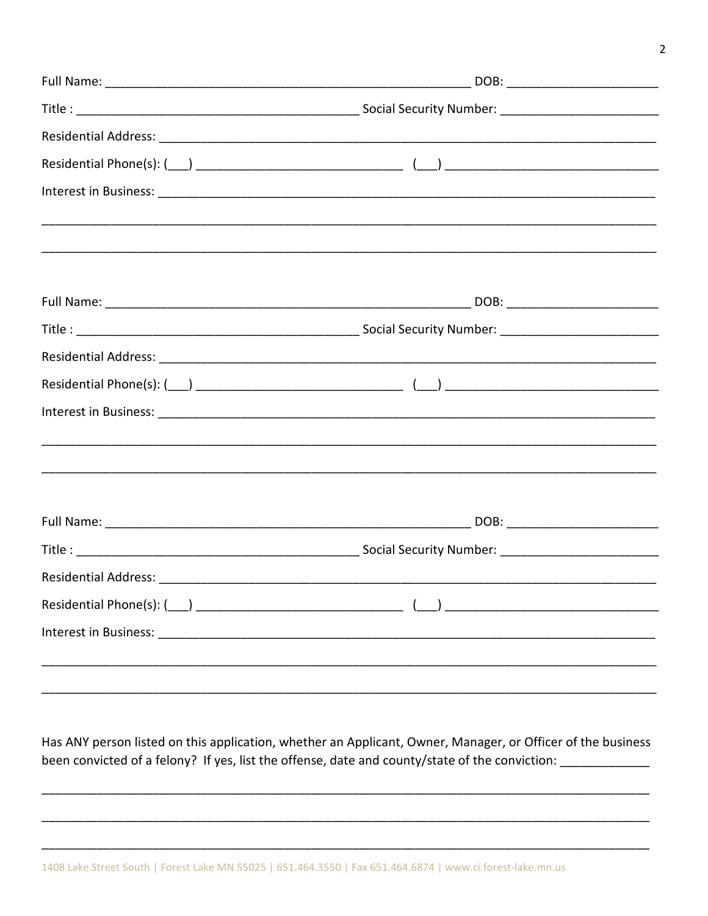Has ANY person listed on this application, whether an Applicant, Owner, Manager, or Officer of the business been convicted of a felony? If yes, list the offense, date and county/state of the conviction: \_\_\_\_\_\_\_\_\_\_\_\_\_\_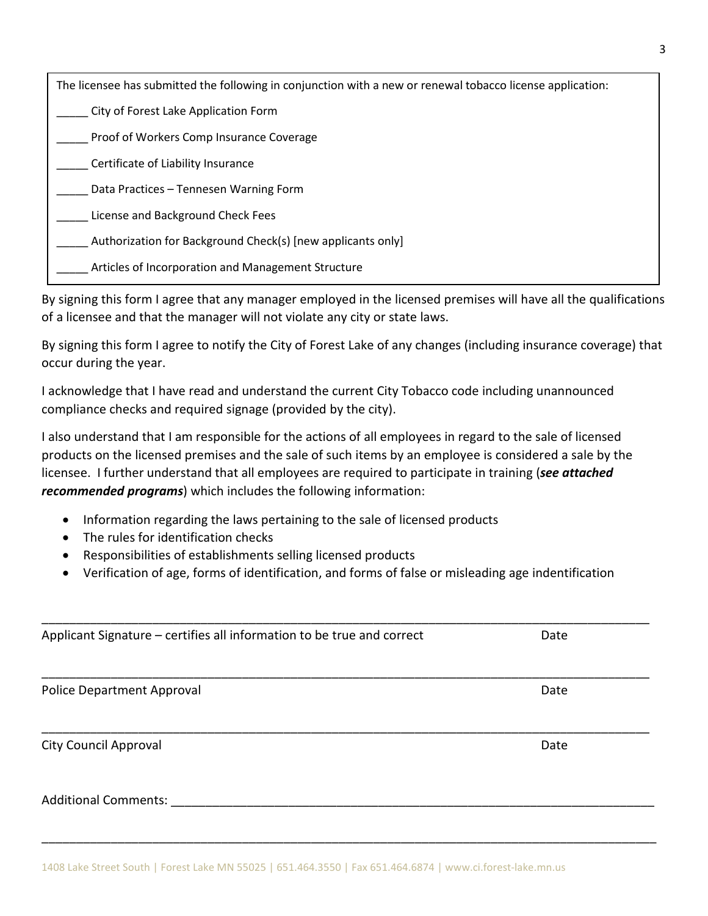| The licensee has submitted the following in conjunction with a new or renewal tobacco license application: |
|------------------------------------------------------------------------------------------------------------|
| City of Forest Lake Application Form                                                                       |
| Proof of Workers Comp Insurance Coverage                                                                   |
| Certificate of Liability Insurance                                                                         |
| Data Practices - Tennesen Warning Form                                                                     |
| License and Background Check Fees                                                                          |
| Authorization for Background Check(s) [new applicants only]                                                |
| Articles of Incorporation and Management Structure                                                         |

By signing this form I agree that any manager employed in the licensed premises will have all the qualifications of a licensee and that the manager will not violate any city or state laws.

By signing this form I agree to notify the City of Forest Lake of any changes (including insurance coverage) that occur during the year.

I acknowledge that I have read and understand the current City Tobacco code including unannounced compliance checks and required signage (provided by the city).

I also understand that I am responsible for the actions of all employees in regard to the sale of licensed products on the licensed premises and the sale of such items by an employee is considered a sale by the licensee. I further understand that all employees are required to participate in training (*see attached recommended programs*) which includes the following information:

- Information regarding the laws pertaining to the sale of licensed products
- The rules for identification checks
- Responsibilities of establishments selling licensed products
- Verification of age, forms of identification, and forms of false or misleading age indentification

| Applicant Signature - certifies all information to be true and correct | Date |  |
|------------------------------------------------------------------------|------|--|
|                                                                        |      |  |
| Police Department Approval                                             | Date |  |
|                                                                        |      |  |
| <b>City Council Approval</b>                                           | Date |  |
| <b>Additional Comments:</b>                                            |      |  |
|                                                                        |      |  |

\_\_\_\_\_\_\_\_\_\_\_\_\_\_\_\_\_\_\_\_\_\_\_\_\_\_\_\_\_\_\_\_\_\_\_\_\_\_\_\_\_\_\_\_\_\_\_\_\_\_\_\_\_\_\_\_\_\_\_\_\_\_\_\_\_\_\_\_\_\_\_\_\_\_\_\_\_\_\_\_\_\_\_\_\_\_\_\_\_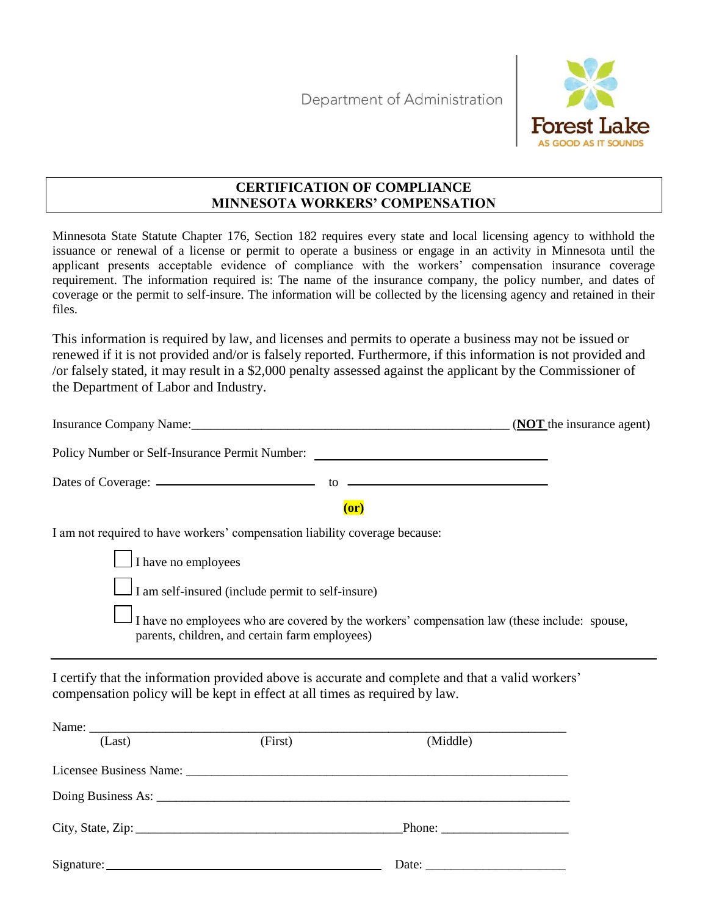Department of Administration



#### **CERTIFICATION OF COMPLIANCE MINNESOTA WORKERS' COMPENSATION**

Minnesota State Statute Chapter 176, Section 182 requires every state and local licensing agency to withhold the issuance or renewal of a license or permit to operate a business or engage in an activity in Minnesota until the applicant presents acceptable evidence of compliance with the workers' compensation insurance coverage requirement. The information required is: The name of the insurance company, the policy number, and dates of coverage or the permit to self-insure. The information will be collected by the licensing agency and retained in their files.

This information is required by law, and licenses and permits to operate a business may not be issued or renewed if it is not provided and/or is falsely reported. Furthermore, if this information is not provided and /or falsely stated, it may result in a \$2,000 penalty assessed against the applicant by the Commissioner of the Department of Labor and Industry.

|                                                                                                                                                                                 | ( <b>NOT</b> the insurance agent) |
|---------------------------------------------------------------------------------------------------------------------------------------------------------------------------------|-----------------------------------|
| Policy Number or Self-Insurance Permit Number:                                                                                                                                  |                                   |
|                                                                                                                                                                                 |                                   |
| (or)                                                                                                                                                                            |                                   |
| I am not required to have workers' compensation liability coverage because:                                                                                                     |                                   |
| $\Box$ I have no employees                                                                                                                                                      |                                   |
| I am self-insured (include permit to self-insure)                                                                                                                               |                                   |
| I have no employees who are covered by the workers' compensation law (these include: spouse,<br>parents, children, and certain farm employees)                                  |                                   |
| I certify that the information provided above is accurate and complete and that a valid workers'<br>compensation policy will be kept in effect at all times as required by law. |                                   |

| (Last) | (First) | (Middle)                                                  |  |
|--------|---------|-----------------------------------------------------------|--|
|        |         |                                                           |  |
|        |         |                                                           |  |
|        |         | Phone: $\frac{1}{\sqrt{1-\frac{1}{2}} \cdot \frac{1}{2}}$ |  |
|        |         |                                                           |  |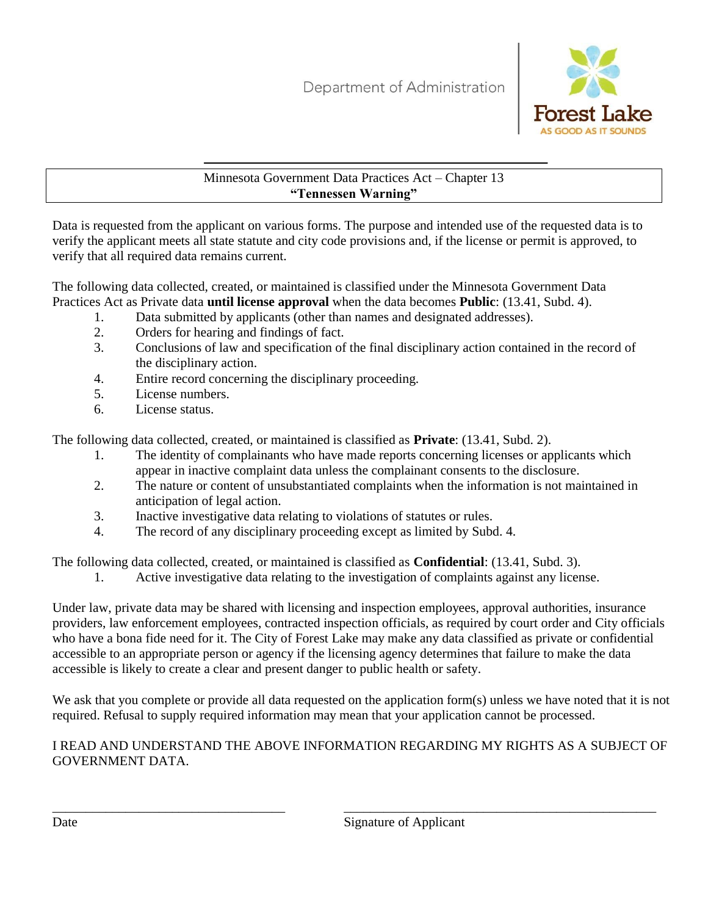

Minnesota Government Data Practices Act – Chapter 13 **"Tennessen Warning"**

Data is requested from the applicant on various forms. The purpose and intended use of the requested data is to verify the applicant meets all state statute and city code provisions and, if the license or permit is approved, to verify that all required data remains current.

The following data collected, created, or maintained is classified under the Minnesota Government Data Practices Act as Private data **until license approval** when the data becomes **Public**: (13.41, Subd. 4).

- 1. Data submitted by applicants (other than names and designated addresses).
- 2. Orders for hearing and findings of fact.
- 3. Conclusions of law and specification of the final disciplinary action contained in the record of the disciplinary action.
- 4. Entire record concerning the disciplinary proceeding.
- 5. License numbers.
- 6. License status.

The following data collected, created, or maintained is classified as **Private**: (13.41, Subd. 2).

- 1. The identity of complainants who have made reports concerning licenses or applicants which appear in inactive complaint data unless the complainant consents to the disclosure.
- 2. The nature or content of unsubstantiated complaints when the information is not maintained in anticipation of legal action.
- 3. Inactive investigative data relating to violations of statutes or rules.
- 4. The record of any disciplinary proceeding except as limited by Subd. 4.

The following data collected, created, or maintained is classified as **Confidential**: (13.41, Subd. 3).

1. Active investigative data relating to the investigation of complaints against any license.

Under law, private data may be shared with licensing and inspection employees, approval authorities, insurance providers, law enforcement employees, contracted inspection officials, as required by court order and City officials who have a bona fide need for it. The City of Forest Lake may make any data classified as private or confidential accessible to an appropriate person or agency if the licensing agency determines that failure to make the data accessible is likely to create a clear and present danger to public health or safety.

We ask that you complete or provide all data requested on the application form(s) unless we have noted that it is not required. Refusal to supply required information may mean that your application cannot be processed.

## I READ AND UNDERSTAND THE ABOVE INFORMATION REGARDING MY RIGHTS AS A SUBJECT OF GOVERNMENT DATA.

\_\_\_\_\_\_\_\_\_\_\_\_\_\_\_\_\_\_\_\_\_\_\_\_\_\_\_\_\_\_\_\_\_\_\_ \_\_\_\_\_\_\_\_\_\_\_\_\_\_\_\_\_\_\_\_\_\_\_\_\_\_\_\_\_\_\_\_\_\_\_\_\_\_\_\_\_\_\_\_\_\_\_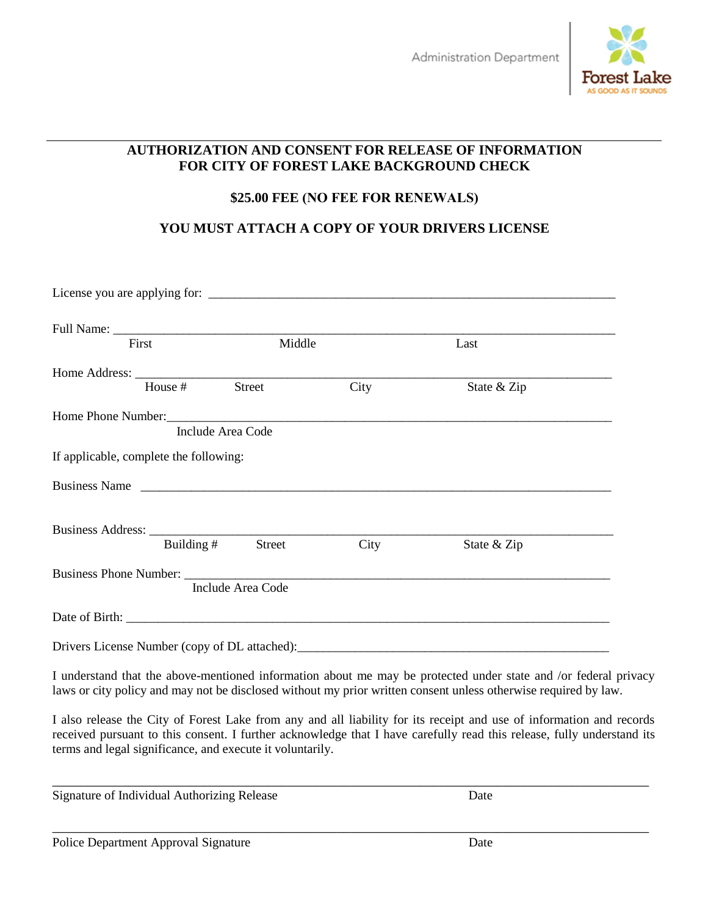

## **AUTHORIZATION AND CONSENT FOR RELEASE OF INFORMATION FOR CITY OF FOREST LAKE BACKGROUND CHECK**

## **\$25.00 FEE (NO FEE FOR RENEWALS)**

# **YOU MUST ATTACH A COPY OF YOUR DRIVERS LICENSE**

| First                                  |                   | Middle                   |      | Last                                                                              |  |
|----------------------------------------|-------------------|--------------------------|------|-----------------------------------------------------------------------------------|--|
|                                        |                   |                          |      |                                                                                   |  |
|                                        | House # Street    |                          | City | State & Zip                                                                       |  |
|                                        |                   |                          |      |                                                                                   |  |
|                                        | Include Area Code |                          |      |                                                                                   |  |
| If applicable, complete the following: |                   |                          |      |                                                                                   |  |
| Business Name                          |                   |                          |      |                                                                                   |  |
|                                        |                   |                          |      |                                                                                   |  |
|                                        | Building $#$      | Street                   | City | State & Zip                                                                       |  |
| Business Phone Number:                 |                   |                          |      |                                                                                   |  |
|                                        |                   | <b>Include Area Code</b> |      |                                                                                   |  |
|                                        |                   |                          |      |                                                                                   |  |
|                                        |                   |                          |      | Drivers License Number (copy of DL attached): ___________________________________ |  |

I understand that the above-mentioned information about me may be protected under state and /or federal privacy laws or city policy and may not be disclosed without my prior written consent unless otherwise required by law.

I also release the City of Forest Lake from any and all liability for its receipt and use of information and records received pursuant to this consent. I further acknowledge that I have carefully read this release, fully understand its terms and legal significance, and execute it voluntarily.

\_\_\_\_\_\_\_\_\_\_\_\_\_\_\_\_\_\_\_\_\_\_\_\_\_\_\_\_\_\_\_\_\_\_\_\_\_\_\_\_\_\_\_\_\_\_\_\_\_\_\_\_\_\_\_\_\_\_\_\_\_\_\_\_\_\_\_\_\_\_\_\_\_\_\_\_\_\_\_\_\_\_\_\_\_\_

\_\_\_\_\_\_\_\_\_\_\_\_\_\_\_\_\_\_\_\_\_\_\_\_\_\_\_\_\_\_\_\_\_\_\_\_\_\_\_\_\_\_\_\_\_\_\_\_\_\_\_\_\_\_\_\_\_\_\_\_\_\_\_\_\_\_\_\_\_\_\_\_\_\_\_\_\_\_\_\_\_\_\_\_\_\_

| Signature of Individual Authorizing Release |  | Date |
|---------------------------------------------|--|------|
|---------------------------------------------|--|------|